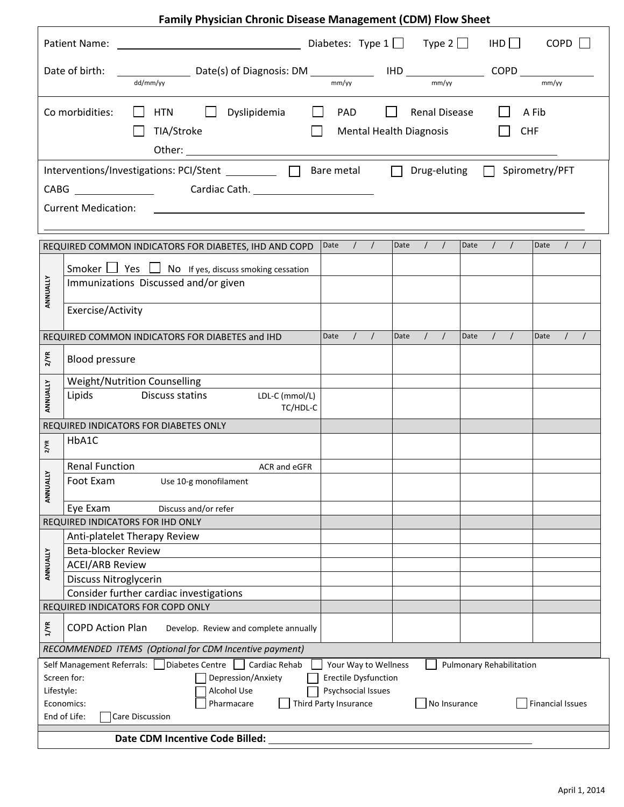## **Family Physician Chronic Disease Management (CDM) Flow Sheet**

| IHD<br><b>COPD</b>                                                                                                                                                                                                                                                                                                                                                                         |                                                                                                       |                                                                                                                                                            |  |  |  |  |  |
|--------------------------------------------------------------------------------------------------------------------------------------------------------------------------------------------------------------------------------------------------------------------------------------------------------------------------------------------------------------------------------------------|-------------------------------------------------------------------------------------------------------|------------------------------------------------------------------------------------------------------------------------------------------------------------|--|--|--|--|--|
| Date of birth:<br>mm/yy<br>mm/yy<br>mm/vv<br>dd/mm/yy                                                                                                                                                                                                                                                                                                                                      |                                                                                                       |                                                                                                                                                            |  |  |  |  |  |
| Co morbidities:<br><b>HTN</b><br>Dyslipidemia<br>$\Box$<br>Renal Disease<br>A Fib<br>$\mathbf{I}$<br>PAD<br>$\Box$<br>TIA/Stroke<br><b>Mental Health Diagnosis</b><br><b>CHF</b>                                                                                                                                                                                                           |                                                                                                       |                                                                                                                                                            |  |  |  |  |  |
| Interventions/Investigations: PCI/Stent __________ □ Bare metal<br>Drug-eluting $\Box$<br>Spirometry/PFT<br>$\Box$<br><b>Cardiac Cath.</b> The Cardiac Cath.<br>CABG<br><b>Current Medication:</b>                                                                                                                                                                                         |                                                                                                       |                                                                                                                                                            |  |  |  |  |  |
|                                                                                                                                                                                                                                                                                                                                                                                            | REQUIRED COMMON INDICATORS FOR DIABETES, IHD AND COPD                                                 | $\left  \begin{array}{cc} \end{array} \right $<br>Date<br>Date $/$ /<br>Date<br>$\sqrt{ }$<br>Date<br>$\prime$                                             |  |  |  |  |  |
|                                                                                                                                                                                                                                                                                                                                                                                            | Smoker $\Box$ Yes $\Box$ No If yes, discuss smoking cessation<br>Immunizations Discussed and/or given |                                                                                                                                                            |  |  |  |  |  |
| ANNUALLY                                                                                                                                                                                                                                                                                                                                                                                   | Exercise/Activity                                                                                     |                                                                                                                                                            |  |  |  |  |  |
|                                                                                                                                                                                                                                                                                                                                                                                            | REQUIRED COMMON INDICATORS FOR DIABETES and IHD                                                       | Date<br>$\left  \begin{array}{cc} \end{array} \right $<br>Date<br>$\prime$<br>$\sqrt{ }$<br>Date<br>$\sqrt{2}$<br>$\prime$<br>$\prime$<br>Date<br>$\prime$ |  |  |  |  |  |
| $2/\text{YR}$                                                                                                                                                                                                                                                                                                                                                                              | <b>Blood pressure</b>                                                                                 |                                                                                                                                                            |  |  |  |  |  |
|                                                                                                                                                                                                                                                                                                                                                                                            | Weight/Nutrition Counselling                                                                          |                                                                                                                                                            |  |  |  |  |  |
| ANNUALLY                                                                                                                                                                                                                                                                                                                                                                                   | Lipids<br>Discuss statins<br>LDL-C (mmol/L)<br>TC/HDL-C                                               |                                                                                                                                                            |  |  |  |  |  |
|                                                                                                                                                                                                                                                                                                                                                                                            | REQUIRED INDICATORS FOR DIABETES ONLY                                                                 |                                                                                                                                                            |  |  |  |  |  |
| 2/VR                                                                                                                                                                                                                                                                                                                                                                                       | HbA1C                                                                                                 |                                                                                                                                                            |  |  |  |  |  |
|                                                                                                                                                                                                                                                                                                                                                                                            | <b>Renal Function</b><br>ACR and eGFR                                                                 |                                                                                                                                                            |  |  |  |  |  |
| ALLY<br>ANNU.                                                                                                                                                                                                                                                                                                                                                                              | Foot Exam<br>Use 10-g monofilament                                                                    |                                                                                                                                                            |  |  |  |  |  |
|                                                                                                                                                                                                                                                                                                                                                                                            | Eye Exam<br>Discuss and/or refer                                                                      |                                                                                                                                                            |  |  |  |  |  |
|                                                                                                                                                                                                                                                                                                                                                                                            | REQUIRED INDICATORS FOR IHD ONLY                                                                      |                                                                                                                                                            |  |  |  |  |  |
|                                                                                                                                                                                                                                                                                                                                                                                            | Anti-platelet Therapy Review<br>Beta-blocker Review                                                   |                                                                                                                                                            |  |  |  |  |  |
| ANNUALLY                                                                                                                                                                                                                                                                                                                                                                                   | <b>ACEI/ARB Review</b>                                                                                |                                                                                                                                                            |  |  |  |  |  |
|                                                                                                                                                                                                                                                                                                                                                                                            | Discuss Nitroglycerin                                                                                 |                                                                                                                                                            |  |  |  |  |  |
|                                                                                                                                                                                                                                                                                                                                                                                            | Consider further cardiac investigations                                                               |                                                                                                                                                            |  |  |  |  |  |
|                                                                                                                                                                                                                                                                                                                                                                                            | REQUIRED INDICATORS FOR COPD ONLY                                                                     |                                                                                                                                                            |  |  |  |  |  |
| $1$ /YR                                                                                                                                                                                                                                                                                                                                                                                    | <b>COPD Action Plan</b><br>Develop. Review and complete annually                                      |                                                                                                                                                            |  |  |  |  |  |
|                                                                                                                                                                                                                                                                                                                                                                                            | RECOMMENDED ITEMS (Optional for CDM Incentive payment)                                                |                                                                                                                                                            |  |  |  |  |  |
| Diabetes Centre $\Box$<br>Cardiac Rehab<br>Self Management Referrals:<br>Your Way to Wellness<br>Pulmonary Rehabilitation<br>Screen for:<br>Depression/Anxiety<br><b>Erectile Dysfunction</b><br>Psychsocial Issues<br>Lifestyle:<br>Alcohol Use<br>Pharmacare<br>Third Party Insurance<br>No Insurance<br><b>Financial Issues</b><br>Economics:<br>End of Life:<br><b>Care Discussion</b> |                                                                                                       |                                                                                                                                                            |  |  |  |  |  |
| Date CDM Incentive Code Billed:                                                                                                                                                                                                                                                                                                                                                            |                                                                                                       |                                                                                                                                                            |  |  |  |  |  |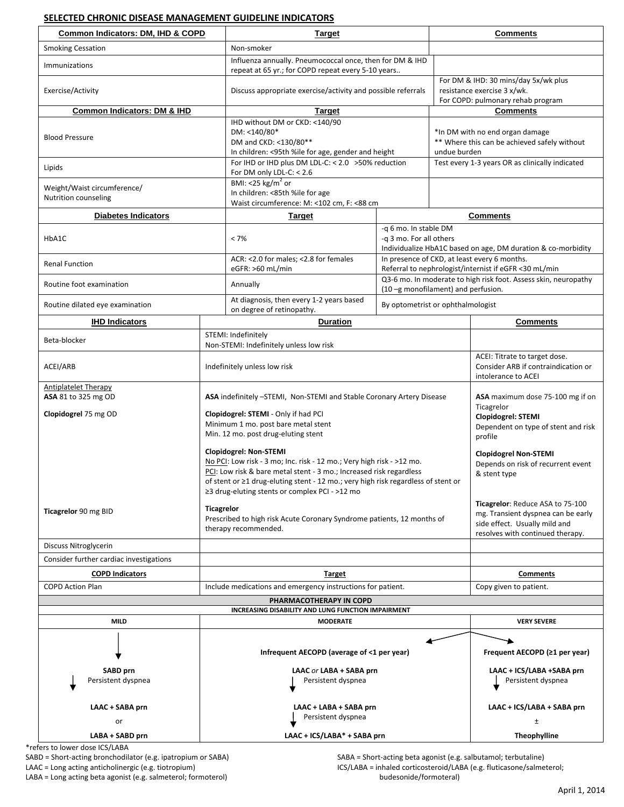## **SELECTED CHRONIC DISEASE MANAGEMENT GUIDELINE INDICATORS**

| Common Indicators: DM, IHD & COPD                                                    |                                                                                                                     | <b>Target</b>                                                                                                                                                                                                                                                                                                              |                                                                                                                  | <b>Comments</b>                                                                                        |                                                                                                                                             |  |  |
|--------------------------------------------------------------------------------------|---------------------------------------------------------------------------------------------------------------------|----------------------------------------------------------------------------------------------------------------------------------------------------------------------------------------------------------------------------------------------------------------------------------------------------------------------------|------------------------------------------------------------------------------------------------------------------|--------------------------------------------------------------------------------------------------------|---------------------------------------------------------------------------------------------------------------------------------------------|--|--|
| <b>Smoking Cessation</b>                                                             |                                                                                                                     | Non-smoker                                                                                                                                                                                                                                                                                                                 |                                                                                                                  |                                                                                                        |                                                                                                                                             |  |  |
| Immunizations                                                                        |                                                                                                                     | Influenza annually. Pneumococcal once, then for DM & IHD<br>repeat at 65 yr.; for COPD repeat every 5-10 years                                                                                                                                                                                                             |                                                                                                                  |                                                                                                        |                                                                                                                                             |  |  |
| Exercise/Activity                                                                    |                                                                                                                     | Discuss appropriate exercise/activity and possible referrals                                                                                                                                                                                                                                                               |                                                                                                                  |                                                                                                        | For DM & IHD: 30 mins/day 5x/wk plus<br>resistance exercise 3 x/wk.<br>For COPD: pulmonary rehab program                                    |  |  |
| <b>Common Indicators: DM &amp; IHD</b>                                               |                                                                                                                     | <b>Target</b>                                                                                                                                                                                                                                                                                                              |                                                                                                                  |                                                                                                        | <b>Comments</b>                                                                                                                             |  |  |
| <b>Blood Pressure</b>                                                                |                                                                                                                     | IHD without DM or CKD: <140/90<br>DM: <140/80*<br>DM and CKD: <130/80**<br>In children: <95th %ile for age, gender and height                                                                                                                                                                                              |                                                                                                                  |                                                                                                        | *In DM with no end organ damage<br>** Where this can be achieved safely without<br>undue burden                                             |  |  |
| Lipids                                                                               |                                                                                                                     | For IHD or IHD plus DM LDL-C: < 2.0 > 50% reduction<br>For DM only LDL-C: $< 2.6$                                                                                                                                                                                                                                          |                                                                                                                  |                                                                                                        | Test every 1-3 years OR as clinically indicated                                                                                             |  |  |
| Weight/Waist circumference/<br>Nutrition counseling                                  |                                                                                                                     | BMI: <25 kg/m <sup>2</sup> or<br>In children: <85th %ile for age<br>Waist circumference: M: <102 cm, F: <88 cm                                                                                                                                                                                                             |                                                                                                                  |                                                                                                        |                                                                                                                                             |  |  |
| <b>Diabetes Indicators</b>                                                           |                                                                                                                     | <b>Target</b>                                                                                                                                                                                                                                                                                                              |                                                                                                                  | <b>Comments</b>                                                                                        |                                                                                                                                             |  |  |
| HbA1C                                                                                |                                                                                                                     | $< 7\%$                                                                                                                                                                                                                                                                                                                    | -q 6 mo. In stable DM<br>-q 3 mo. For all others<br>Individualize HbA1C based on age, DM duration & co-morbidity |                                                                                                        |                                                                                                                                             |  |  |
| <b>Renal Function</b>                                                                |                                                                                                                     | ACR: <2.0 for males; <2.8 for females<br>eGFR: >60 mL/min                                                                                                                                                                                                                                                                  |                                                                                                                  | In presence of CKD, at least every 6 months.<br>Referral to nephrologist/internist if eGFR <30 mL/min  |                                                                                                                                             |  |  |
| Routine foot examination                                                             |                                                                                                                     | Annually                                                                                                                                                                                                                                                                                                                   |                                                                                                                  | Q3-6 mo. In moderate to high risk foot. Assess skin, neuropathy<br>(10 -g monofilament) and perfusion. |                                                                                                                                             |  |  |
| Routine dilated eye examination                                                      |                                                                                                                     | At diagnosis, then every 1-2 years based<br>By optometrist or ophthalmologist<br>on degree of retinopathy.                                                                                                                                                                                                                 |                                                                                                                  |                                                                                                        |                                                                                                                                             |  |  |
| <b>IHD Indicators</b>                                                                |                                                                                                                     | <b>Duration</b>                                                                                                                                                                                                                                                                                                            |                                                                                                                  |                                                                                                        | <b>Comments</b>                                                                                                                             |  |  |
| Beta-blocker                                                                         |                                                                                                                     | STEMI: Indefinitely<br>Non-STEMI: Indefinitely unless low risk                                                                                                                                                                                                                                                             |                                                                                                                  |                                                                                                        |                                                                                                                                             |  |  |
| ACEI/ARB                                                                             |                                                                                                                     | Indefinitely unless low risk                                                                                                                                                                                                                                                                                               |                                                                                                                  |                                                                                                        | ACEI: Titrate to target dose.<br>Consider ARB if contraindication or<br>intolerance to ACEI                                                 |  |  |
| <b>Antiplatelet Therapy</b><br>ASA 81 to 325 mg OD                                   | ASA indefinitely -STEMI, Non-STEMI and Stable Coronary Artery Disease                                               |                                                                                                                                                                                                                                                                                                                            |                                                                                                                  |                                                                                                        | ASA maximum dose 75-100 mg if on<br>Ticagrelor                                                                                              |  |  |
| Clopidogrel 75 mg OD                                                                 | Clopidogrel: STEMI - Only if had PCI<br>Minimum 1 mo. post bare metal stent<br>Min. 12 mo. post drug-eluting stent  |                                                                                                                                                                                                                                                                                                                            |                                                                                                                  |                                                                                                        | Clopidogrel: STEMI<br>Dependent on type of stent and risk<br>profile                                                                        |  |  |
|                                                                                      |                                                                                                                     | <b>Clopidogrel: Non-STEMI</b><br>No PCI: Low risk - 3 mo; Inc. risk - 12 mo.; Very high risk - >12 mo.<br>PCI: Low risk & bare metal stent - 3 mo.; Increased risk regardless<br>of stent or ≥1 drug-eluting stent - 12 mo.; very high risk regardless of stent or<br>$\geq$ 3 drug-eluting stents or complex PCI - >12 mo |                                                                                                                  |                                                                                                        | <b>Clopidogrel Non-STEMI</b><br>Depends on risk of recurrent event<br>& stent type                                                          |  |  |
| Ticagrelor 90 mg BID                                                                 | <b>Ticagrelor</b><br>Prescribed to high risk Acute Coronary Syndrome patients, 12 months of<br>therapy recommended. |                                                                                                                                                                                                                                                                                                                            |                                                                                                                  |                                                                                                        | Ticagrelor: Reduce ASA to 75-100<br>mg. Transient dyspnea can be early<br>side effect. Usually mild and<br>resolves with continued therapy. |  |  |
| Discuss Nitroglycerin                                                                |                                                                                                                     |                                                                                                                                                                                                                                                                                                                            |                                                                                                                  |                                                                                                        |                                                                                                                                             |  |  |
| Consider further cardiac investigations                                              |                                                                                                                     |                                                                                                                                                                                                                                                                                                                            |                                                                                                                  |                                                                                                        |                                                                                                                                             |  |  |
| <b>COPD Indicators</b>                                                               |                                                                                                                     | <b>Target</b>                                                                                                                                                                                                                                                                                                              |                                                                                                                  |                                                                                                        | <b>Comments</b>                                                                                                                             |  |  |
| <b>COPD Action Plan</b>                                                              |                                                                                                                     | Include medications and emergency instructions for patient.                                                                                                                                                                                                                                                                |                                                                                                                  |                                                                                                        | Copy given to patient.                                                                                                                      |  |  |
| PHARMACOTHERAPY IN COPD                                                              |                                                                                                                     |                                                                                                                                                                                                                                                                                                                            |                                                                                                                  |                                                                                                        |                                                                                                                                             |  |  |
| INCREASING DISABILITY AND LUNG FUNCTION IMPAIRMENT<br><b>MILD</b><br><b>MODERATE</b> |                                                                                                                     |                                                                                                                                                                                                                                                                                                                            |                                                                                                                  |                                                                                                        | <b>VERY SEVERE</b>                                                                                                                          |  |  |
| <b>SABD</b> prn                                                                      |                                                                                                                     | Infrequent AECOPD (average of <1 per year)<br>LAAC or LABA + SABA prn                                                                                                                                                                                                                                                      |                                                                                                                  | Frequent AECOPD (≥1 per year)<br>LAAC + ICS/LABA +SABA prn                                             |                                                                                                                                             |  |  |
| Persistent dyspnea                                                                   |                                                                                                                     | Persistent dyspnea                                                                                                                                                                                                                                                                                                         |                                                                                                                  |                                                                                                        | Persistent dyspnea                                                                                                                          |  |  |
| LAAC + SABA prn                                                                      |                                                                                                                     | LAAC + LABA + SABA prn<br>Persistent dyspnea                                                                                                                                                                                                                                                                               |                                                                                                                  | LAAC + ICS/LABA + SABA prn                                                                             |                                                                                                                                             |  |  |
| or                                                                                   |                                                                                                                     |                                                                                                                                                                                                                                                                                                                            |                                                                                                                  |                                                                                                        | $\pm$                                                                                                                                       |  |  |
| LABA + SABD prn                                                                      |                                                                                                                     | LAAC + ICS/LABA* + SABA prn                                                                                                                                                                                                                                                                                                |                                                                                                                  |                                                                                                        | Theophylline                                                                                                                                |  |  |

\*refers to lower dose ICS/LABA SABD = Short‐acting bronchodilator (e.g. ipatropium or SABA) SABA = Short‐acting beta agonist (e.g. salbutamol; terbutaline) LABA = Long acting beta agonist (e.g. salmeterol; formoterol)

LAAC = Long acting anticholinergic (e.g. tiotropium) ICS/LABA = inhaled corticosteroid/LABA (e.g. fluticasone/salmeterol;